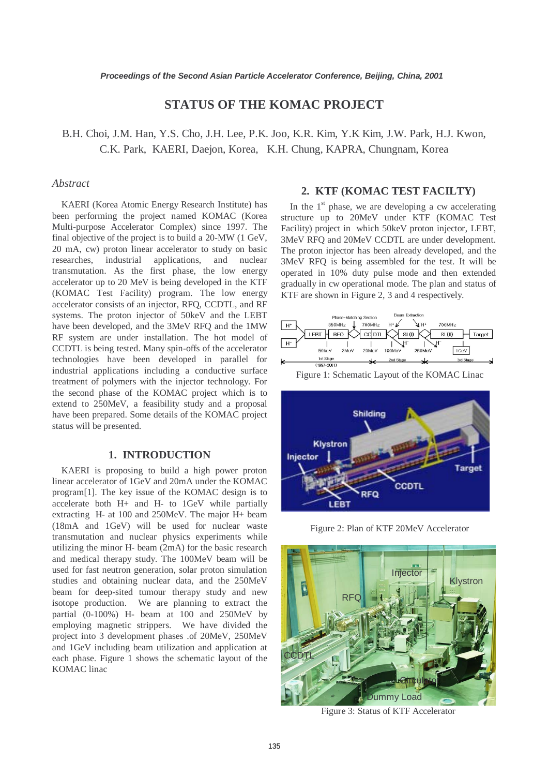# **STATUS OF THE KOMAC PROJECT**

B.H. Choi, J.M. Han, Y.S. Cho, J.H. Lee, P.K. Joo, K.R. Kim, Y.K Kim, J.W. Park, H.J. Kwon, C.K. Park, KAERI, Daejon, Korea, K.H. Chung, KAPRA, Chungnam, Korea

#### *Abstract*

KAERI (Korea Atomic Energy Research Institute) has been performing the project named KOMAC (Korea Multi-purpose Accelerator Complex) since 1997. The final objective of the project is to build a 20-MW (1 GeV, 20 mA, cw) proton linear accelerator to study on basic researches, industrial applications, and nuclear transmutation. As the first phase, the low energy accelerator up to 20 MeV is being developed in the KTF (KOMAC Test Facility) program. The low energy accelerator consists of an injector, RFQ, CCDTL, and RF systems. The proton injector of 50keV and the LEBT have been developed, and the 3MeV RFQ and the 1MW RF system are under installation. The hot model of CCDTL is being tested. Many spin-offs of the accelerator technologies have been developed in parallel for industrial applications including a conductive surface treatment of polymers with the injector technology. For the second phase of the KOMAC project which is to extend to 250MeV, a feasibility study and a proposal have been prepared. Some details of the KOMAC project status will be presented.

#### **1. INTRODUCTION**

KAERI is proposing to build a high power proton linear accelerator of 1GeV and 20mA under the KOMAC program[1]. The key issue of the KOMAC design is to accelerate both H+ and H- to 1GeV while partially extracting H- at 100 and 250MeV. The major H+ beam (18mA and 1GeV) will be used for nuclear waste transmutation and nuclear physics experiments while utilizing the minor H- beam (2mA) for the basic research and medical therapy study. The 100MeV beam will be used for fast neutron generation, solar proton simulation studies and obtaining nuclear data, and the 250MeV beam for deep-sited tumour therapy study and new isotope production. We are planning to extract the partial (0-100%) H- beam at 100 and 250MeV by employing magnetic strippers. We have divided the project into 3 development phases .of 20MeV, 250MeV and 1GeV including beam utilization and application at each phase. Figure 1 shows the schematic layout of the KOMAC linac

#### **2. KTF (KOMAC TEST FACILTY)**

In the  $1<sup>st</sup>$  phase, we are developing a cw accelerating structure up to 20MeV under KTF (KOMAC Test Facility) project in which 50keV proton injector, LEBT, 3MeV RFQ and 20MeV CCDTL are under development. The proton injector has been already developed, and the 3MeV RFQ is being assembled for the test. It will be operated in 10% duty pulse mode and then extended gradually in cw operational mode. The plan and status of KTF are shown in Figure 2, 3 and 4 respectively.







Figure 2: Plan of KTF 20MeV Accelerator



Figure 3: Status of KTF Accelerator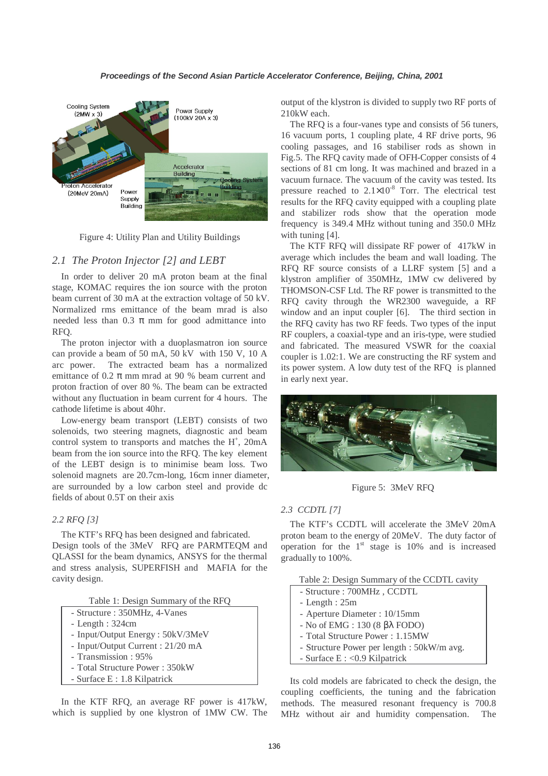

Figure 4: Utility Plan and Utility Buildings

## *2.1 The Proton Injector [2] and LEBT*

In order to deliver 20 mA proton beam at the final stage, KOMAC requires the ion source with the proton beam current of 30 mA at the extraction voltage of 50 kV. Normalized rms emittance of the beam mrad is also needed less than 0.3  $\pi$  mm for good admittance into RFQ.

The proton injector with a duoplasmatron ion source can provide a beam of 50 mA, 50 kV with 150 V, 10 A arc power. The extracted beam has a normalized emittance of 0.2  $\pi$  mm mrad at 90 % beam current and proton fraction of over 80 %. The beam can be extracted without any fluctuation in beam current for 4 hours. The cathode lifetime is about 40hr.

Low-energy beam transport (LEBT) consists of two solenoids, two steering magnets, diagnostic and beam control system to transports and matches the H<sup>+</sup>, 20mA beam from the ion source into the RFQ. The key element of the LEBT design is to minimise beam loss. Two solenoid magnets are 20.7cm-long, 16cm inner diameter, are surrounded by a low carbon steel and provide dc fields of about 0.5T on their axis

## *2.2 RFQ [3]*

The KTF's RFQ has been designed and fabricated. Design tools of the 3MeV RFQ are PARMTEQM and QLASSI for the beam dynamics, ANSYS for the thermal and stress analysis, SUPERFISH and MAFIA for the cavity design.

|  |  |  | Table 1: Design Summary of the RFQ |  |  |  |
|--|--|--|------------------------------------|--|--|--|
|--|--|--|------------------------------------|--|--|--|

|  |  |  | - Structure : 350MHz, 4-Vanes |  |  |
|--|--|--|-------------------------------|--|--|
|--|--|--|-------------------------------|--|--|

- Length : 324cm
- Input/Output Energy : 50kV/3MeV
- Input/Output Current : 21/20 mA
- Transmission : 95%
- Total Structure Power : 350kW
- Surface E : 1.8 Kilpatrick

In the KTF RFQ, an average RF power is 417kW, which is supplied by one klystron of 1MW CW. The output of the klystron is divided to supply two RF ports of 210kW each.

The RFQ is a four-vanes type and consists of 56 tuners, 16 vacuum ports, 1 coupling plate, 4 RF drive ports, 96 cooling passages, and 16 stabiliser rods as shown in Fig.5. The RFQ cavity made of OFH-Copper consists of 4 sections of 81 cm long. It was machined and brazed in a vacuum furnace. The vacuum of the cavity was tested. Its pressure reached to  $2.1 \times 10^{-8}$  Torr. The electrical test results for the RFQ cavity equipped with a coupling plate and stabilizer rods show that the operation mode frequency is 349.4 MHz without tuning and 350.0 MHz with tuning [4].

The KTF RFQ will dissipate RF power of 417kW in average which includes the beam and wall loading. The RFQ RF source consists of a LLRF system [5] and a klystron amplifier of 350MHz, 1MW cw delivered by THOMSON-CSF Ltd. The RF power is transmitted to the RFQ cavity through the WR2300 waveguide, a RF window and an input coupler [6]. The third section in the RFQ cavity has two RF feeds. Two types of the input RF couplers, a coaxial-type and an iris-type, were studied and fabricated. The measured VSWR for the coaxial coupler is 1.02:1. We are constructing the RF system and its power system. A low duty test of the RFQ is planned in early next year.



Figure 5: 3MeV RFQ

#### *2.3 CCDTL [7]*

The KTF's CCDTL will accelerate the 3MeV 20mA proton beam to the energy of 20MeV. The duty factor of operation for the  $1<sup>st</sup>$  stage is 10% and is increased gradually to 100%.

| Table 2: Design Summary of the CCDTL cavity |  |
|---------------------------------------------|--|
|                                             |  |

- Structure : 700MHz , CCDTL
- Length : 25m
- Aperture Diameter : 10/15mm
- No of EMG : 130 (8 βλ FODO)
- Total Structure Power : 1.15MW
- Structure Power per length : 50kW/m avg.
- Surface E : <0.9 Kilpatrick

Its cold models are fabricated to check the design, the coupling coefficients, the tuning and the fabrication methods. The measured resonant frequency is 700.8 MHz without air and humidity compensation. The